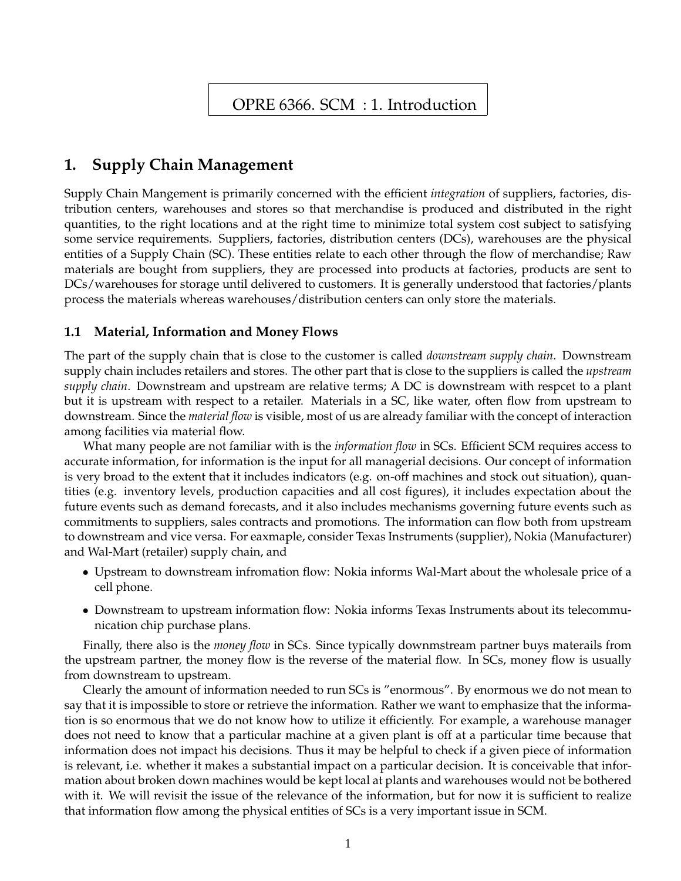# **1. Supply Chain Management**

Supply Chain Mangement is primarily concerned with the efficient *integration* of suppliers, factories, distribution centers, warehouses and stores so that merchandise is produced and distributed in the right quantities, to the right locations and at the right time to minimize total system cost subject to satisfying some service requirements. Suppliers, factories, distribution centers (DCs), warehouses are the physical entities of a Supply Chain (SC). These entities relate to each other through the flow of merchandise; Raw materials are bought from suppliers, they are processed into products at factories, products are sent to DCs/warehouses for storage until delivered to customers. It is generally understood that factories/plants process the materials whereas warehouses/distribution centers can only store the materials.

### **1.1 Material, Information and Money Flows**

The part of the supply chain that is close to the customer is called *downstream supply chain*. Downstream supply chain includes retailers and stores. The other part that is close to the suppliers is called the *upstream supply chain*. Downstream and upstream are relative terms; A DC is downstream with respcet to a plant but it is upstream with respect to a retailer. Materials in a SC, like water, often flow from upstream to downstream. Since the *material flow* is visible, most of us are already familiar with the concept of interaction among facilities via material flow.

What many people are not familiar with is the *information flow* in SCs. Efficient SCM requires access to accurate information, for information is the input for all managerial decisions. Our concept of information is very broad to the extent that it includes indicators (e.g. on-off machines and stock out situation), quantities (e.g. inventory levels, production capacities and all cost figures), it includes expectation about the future events such as demand forecasts, and it also includes mechanisms governing future events such as commitments to suppliers, sales contracts and promotions. The information can flow both from upstream to downstream and vice versa. For eaxmaple, consider Texas Instruments (supplier), Nokia (Manufacturer) and Wal-Mart (retailer) supply chain, and

- *•* Upstream to downstream infromation flow: Nokia informs Wal-Mart about the wholesale price of a cell phone.
- Downstream to upstream information flow: Nokia informs Texas Instruments about its telecommunication chip purchase plans.

Finally, there also is the *money flow* in SCs. Since typically downmstream partner buys materails from the upstream partner, the money flow is the reverse of the material flow. In SCs, money flow is usually from downstream to upstream.

Clearly the amount of information needed to run SCs is "enormous". By enormous we do not mean to say that it is impossible to store or retrieve the information. Rather we want to emphasize that the information is so enormous that we do not know how to utilize it efficiently. For example, a warehouse manager does not need to know that a particular machine at a given plant is off at a particular time because that information does not impact his decisions. Thus it may be helpful to check if a given piece of information is relevant, i.e. whether it makes a substantial impact on a particular decision. It is conceivable that information about broken down machines would be kept local at plants and warehouses would not be bothered with it. We will revisit the issue of the relevance of the information, but for now it is sufficient to realize that information flow among the physical entities of SCs is a very important issue in SCM.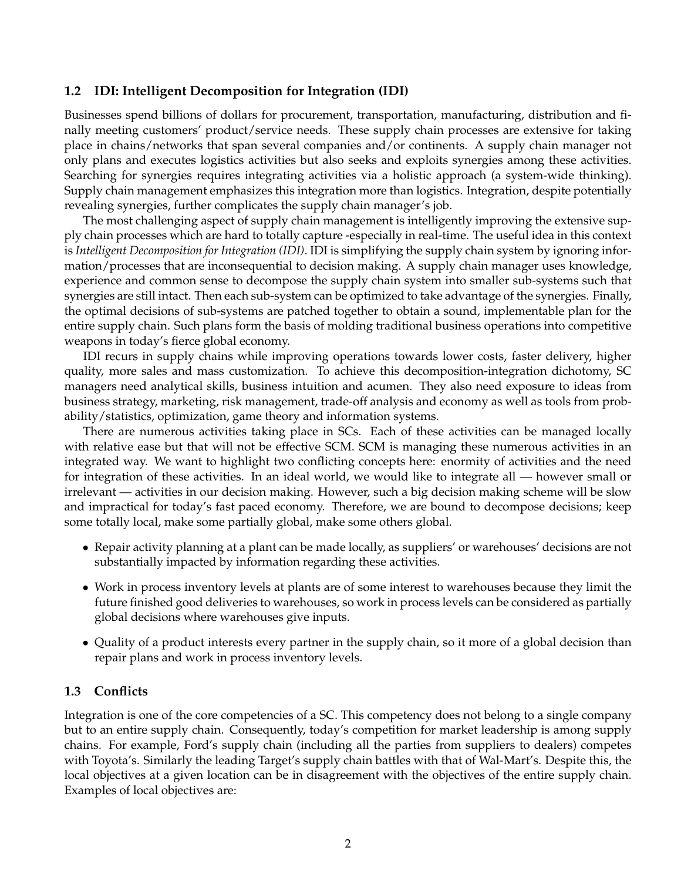#### **1.2 IDI: Intelligent Decomposition for Integration (IDI)**

Businesses spend billions of dollars for procurement, transportation, manufacturing, distribution and finally meeting customers' product/service needs. These supply chain processes are extensive for taking place in chains/networks that span several companies and/or continents. A supply chain manager not only plans and executes logistics activities but also seeks and exploits synergies among these activities. Searching for synergies requires integrating activities via a holistic approach (a system-wide thinking). Supply chain management emphasizes this integration more than logistics. Integration, despite potentially revealing synergies, further complicates the supply chain manager's job.

The most challenging aspect of supply chain management is intelligently improving the extensive supply chain processes which are hard to totally capture -especially in real-time. The useful idea in this context is *Intelligent Decomposition for Integration (IDI)*. IDI is simplifying the supply chain system by ignoring information/processes that are inconsequential to decision making. A supply chain manager uses knowledge, experience and common sense to decompose the supply chain system into smaller sub-systems such that synergies are still intact. Then each sub-system can be optimized to take advantage of the synergies. Finally, the optimal decisions of sub-systems are patched together to obtain a sound, implementable plan for the entire supply chain. Such plans form the basis of molding traditional business operations into competitive weapons in today's fierce global economy.

IDI recurs in supply chains while improving operations towards lower costs, faster delivery, higher quality, more sales and mass customization. To achieve this decomposition-integration dichotomy, SC managers need analytical skills, business intuition and acumen. They also need exposure to ideas from business strategy, marketing, risk management, trade-off analysis and economy as well as tools from probability/statistics, optimization, game theory and information systems.

There are numerous activities taking place in SCs. Each of these activities can be managed locally with relative ease but that will not be effective SCM. SCM is managing these numerous activities in an integrated way. We want to highlight two conflicting concepts here: enormity of activities and the need for integration of these activities. In an ideal world, we would like to integrate all — however small or irrelevant — activities in our decision making. However, such a big decision making scheme will be slow and impractical for today's fast paced economy. Therefore, we are bound to decompose decisions; keep some totally local, make some partially global, make some others global.

- Repair activity planning at a plant can be made locally, as suppliers' or warehouses' decisions are not substantially impacted by information regarding these activities.
- *•* Work in process inventory levels at plants are of some interest to warehouses because they limit the future finished good deliveries to warehouses, so work in process levels can be considered as partially global decisions where warehouses give inputs.
- Quality of a product interests every partner in the supply chain, so it more of a global decision than repair plans and work in process inventory levels.

#### **1.3 Conflicts**

Integration is one of the core competencies of a SC. This competency does not belong to a single company but to an entire supply chain. Consequently, today's competition for market leadership is among supply chains. For example, Ford's supply chain (including all the parties from suppliers to dealers) competes with Toyota's. Similarly the leading Target's supply chain battles with that of Wal-Mart's. Despite this, the local objectives at a given location can be in disagreement with the objectives of the entire supply chain. Examples of local objectives are: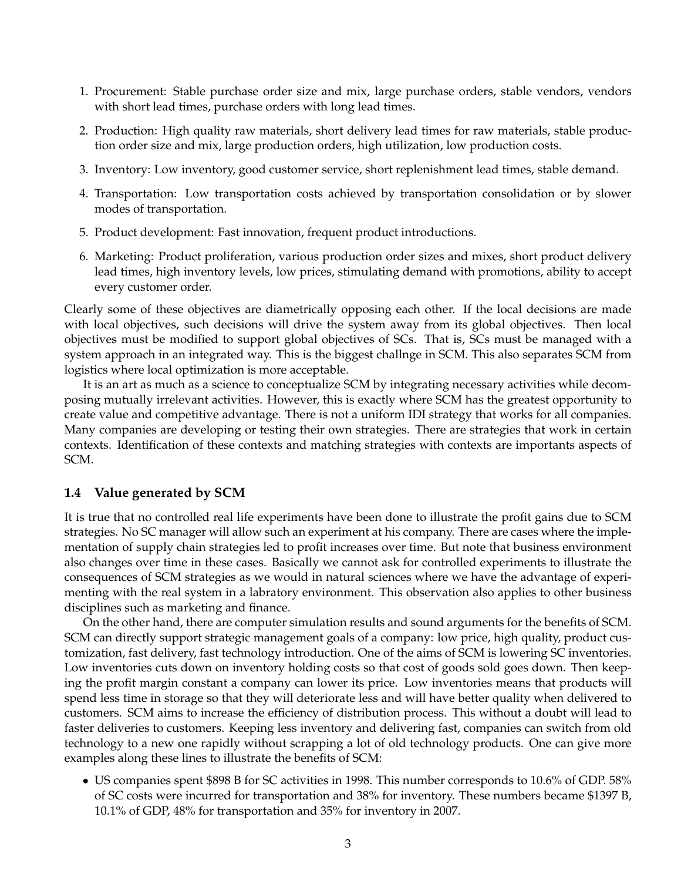- 1. Procurement: Stable purchase order size and mix, large purchase orders, stable vendors, vendors with short lead times, purchase orders with long lead times.
- 2. Production: High quality raw materials, short delivery lead times for raw materials, stable production order size and mix, large production orders, high utilization, low production costs.
- 3. Inventory: Low inventory, good customer service, short replenishment lead times, stable demand.
- 4. Transportation: Low transportation costs achieved by transportation consolidation or by slower modes of transportation.
- 5. Product development: Fast innovation, frequent product introductions.
- 6. Marketing: Product proliferation, various production order sizes and mixes, short product delivery lead times, high inventory levels, low prices, stimulating demand with promotions, ability to accept every customer order.

Clearly some of these objectives are diametrically opposing each other. If the local decisions are made with local objectives, such decisions will drive the system away from its global objectives. Then local objectives must be modified to support global objectives of SCs. That is, SCs must be managed with a system approach in an integrated way. This is the biggest challnge in SCM. This also separates SCM from logistics where local optimization is more acceptable.

It is an art as much as a science to conceptualize SCM by integrating necessary activities while decomposing mutually irrelevant activities. However, this is exactly where SCM has the greatest opportunity to create value and competitive advantage. There is not a uniform IDI strategy that works for all companies. Many companies are developing or testing their own strategies. There are strategies that work in certain contexts. Identification of these contexts and matching strategies with contexts are importants aspects of SCM.

#### **1.4 Value generated by SCM**

It is true that no controlled real life experiments have been done to illustrate the profit gains due to SCM strategies. No SC manager will allow such an experiment at his company. There are cases where the implementation of supply chain strategies led to profit increases over time. But note that business environment also changes over time in these cases. Basically we cannot ask for controlled experiments to illustrate the consequences of SCM strategies as we would in natural sciences where we have the advantage of experimenting with the real system in a labratory environment. This observation also applies to other business disciplines such as marketing and finance.

On the other hand, there are computer simulation results and sound arguments for the benefits of SCM. SCM can directly support strategic management goals of a company: low price, high quality, product customization, fast delivery, fast technology introduction. One of the aims of SCM is lowering SC inventories. Low inventories cuts down on inventory holding costs so that cost of goods sold goes down. Then keeping the profit margin constant a company can lower its price. Low inventories means that products will spend less time in storage so that they will deteriorate less and will have better quality when delivered to customers. SCM aims to increase the efficiency of distribution process. This without a doubt will lead to faster deliveries to customers. Keeping less inventory and delivering fast, companies can switch from old technology to a new one rapidly without scrapping a lot of old technology products. One can give more examples along these lines to illustrate the benefits of SCM:

• US companies spent \$898 B for SC activities in 1998. This number corresponds to 10.6% of GDP. 58% of SC costs were incurred for transportation and 38% for inventory. These numbers became \$1397 B, 10.1% of GDP, 48% for transportation and 35% for inventory in 2007.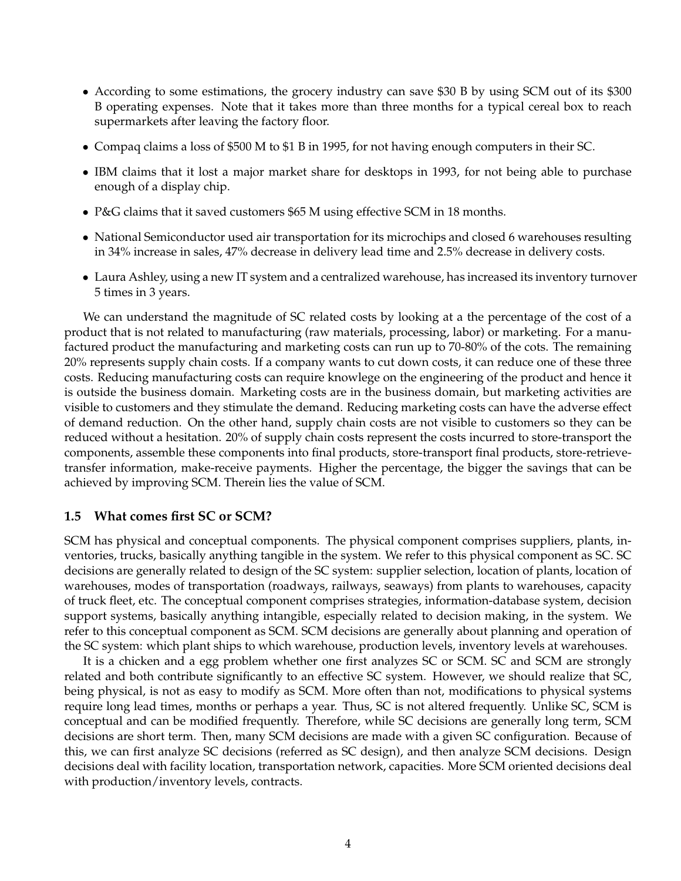- According to some estimations, the grocery industry can save \$30 B by using SCM out of its \$300 B operating expenses. Note that it takes more than three months for a typical cereal box to reach supermarkets after leaving the factory floor.
- *•* Compaq claims a loss of \$500 M to \$1 B in 1995, for not having enough computers in their SC.
- IBM claims that it lost a major market share for desktops in 1993, for not being able to purchase enough of a display chip.
- *•* P&G claims that it saved customers \$65 M using effective SCM in 18 months.
- *•* National Semiconductor used air transportation for its microchips and closed 6 warehouses resulting in 34% increase in sales, 47% decrease in delivery lead time and 2.5% decrease in delivery costs.
- Laura Ashley, using a new IT system and a centralized warehouse, has increased its inventory turnover 5 times in 3 years.

We can understand the magnitude of SC related costs by looking at a the percentage of the cost of a product that is not related to manufacturing (raw materials, processing, labor) or marketing. For a manufactured product the manufacturing and marketing costs can run up to 70-80% of the cots. The remaining 20% represents supply chain costs. If a company wants to cut down costs, it can reduce one of these three costs. Reducing manufacturing costs can require knowlege on the engineering of the product and hence it is outside the business domain. Marketing costs are in the business domain, but marketing activities are visible to customers and they stimulate the demand. Reducing marketing costs can have the adverse effect of demand reduction. On the other hand, supply chain costs are not visible to customers so they can be reduced without a hesitation. 20% of supply chain costs represent the costs incurred to store-transport the components, assemble these components into final products, store-transport final products, store-retrievetransfer information, make-receive payments. Higher the percentage, the bigger the savings that can be achieved by improving SCM. Therein lies the value of SCM.

#### **1.5 What comes first SC or SCM?**

SCM has physical and conceptual components. The physical component comprises suppliers, plants, inventories, trucks, basically anything tangible in the system. We refer to this physical component as SC. SC decisions are generally related to design of the SC system: supplier selection, location of plants, location of warehouses, modes of transportation (roadways, railways, seaways) from plants to warehouses, capacity of truck fleet, etc. The conceptual component comprises strategies, information-database system, decision support systems, basically anything intangible, especially related to decision making, in the system. We refer to this conceptual component as SCM. SCM decisions are generally about planning and operation of the SC system: which plant ships to which warehouse, production levels, inventory levels at warehouses.

It is a chicken and a egg problem whether one first analyzes SC or SCM. SC and SCM are strongly related and both contribute significantly to an effective SC system. However, we should realize that SC, being physical, is not as easy to modify as SCM. More often than not, modifications to physical systems require long lead times, months or perhaps a year. Thus, SC is not altered frequently. Unlike SC, SCM is conceptual and can be modified frequently. Therefore, while SC decisions are generally long term, SCM decisions are short term. Then, many SCM decisions are made with a given SC configuration. Because of this, we can first analyze SC decisions (referred as SC design), and then analyze SCM decisions. Design decisions deal with facility location, transportation network, capacities. More SCM oriented decisions deal with production/inventory levels, contracts.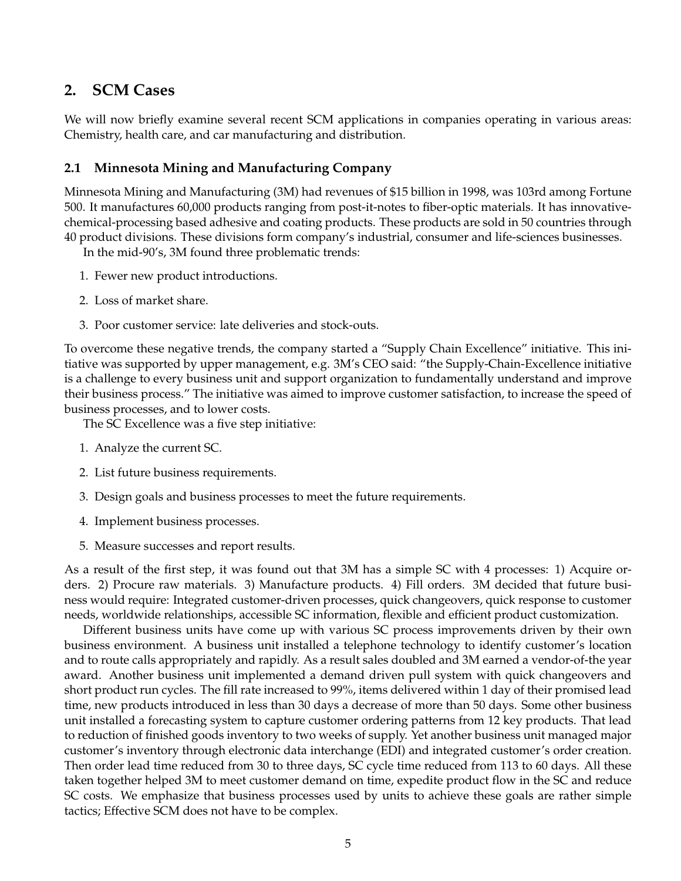# **2. SCM Cases**

We will now briefly examine several recent SCM applications in companies operating in various areas: Chemistry, health care, and car manufacturing and distribution.

### **2.1 Minnesota Mining and Manufacturing Company**

Minnesota Mining and Manufacturing (3M) had revenues of \$15 billion in 1998, was 103rd among Fortune 500. It manufactures 60,000 products ranging from post-it-notes to fiber-optic materials. It has innovativechemical-processing based adhesive and coating products. These products are sold in 50 countries through 40 product divisions. These divisions form company's industrial, consumer and life-sciences businesses.

In the mid-90's, 3M found three problematic trends:

- 1. Fewer new product introductions.
- 2. Loss of market share.
- 3. Poor customer service: late deliveries and stock-outs.

To overcome these negative trends, the company started a "Supply Chain Excellence" initiative. This initiative was supported by upper management, e.g. 3M's CEO said: "the Supply-Chain-Excellence initiative is a challenge to every business unit and support organization to fundamentally understand and improve their business process." The initiative was aimed to improve customer satisfaction, to increase the speed of business processes, and to lower costs.

The SC Excellence was a five step initiative:

- 1. Analyze the current SC.
- 2. List future business requirements.
- 3. Design goals and business processes to meet the future requirements.
- 4. Implement business processes.
- 5. Measure successes and report results.

As a result of the first step, it was found out that 3M has a simple SC with 4 processes: 1) Acquire orders. 2) Procure raw materials. 3) Manufacture products. 4) Fill orders. 3M decided that future business would require: Integrated customer-driven processes, quick changeovers, quick response to customer needs, worldwide relationships, accessible SC information, flexible and efficient product customization.

Different business units have come up with various SC process improvements driven by their own business environment. A business unit installed a telephone technology to identify customer's location and to route calls appropriately and rapidly. As a result sales doubled and 3M earned a vendor-of-the year award. Another business unit implemented a demand driven pull system with quick changeovers and short product run cycles. The fill rate increased to 99%, items delivered within 1 day of their promised lead time, new products introduced in less than 30 days a decrease of more than 50 days. Some other business unit installed a forecasting system to capture customer ordering patterns from 12 key products. That lead to reduction of finished goods inventory to two weeks of supply. Yet another business unit managed major customer's inventory through electronic data interchange (EDI) and integrated customer's order creation. Then order lead time reduced from 30 to three days, SC cycle time reduced from 113 to 60 days. All these taken together helped 3M to meet customer demand on time, expedite product flow in the SC and reduce SC costs. We emphasize that business processes used by units to achieve these goals are rather simple tactics; Effective SCM does not have to be complex.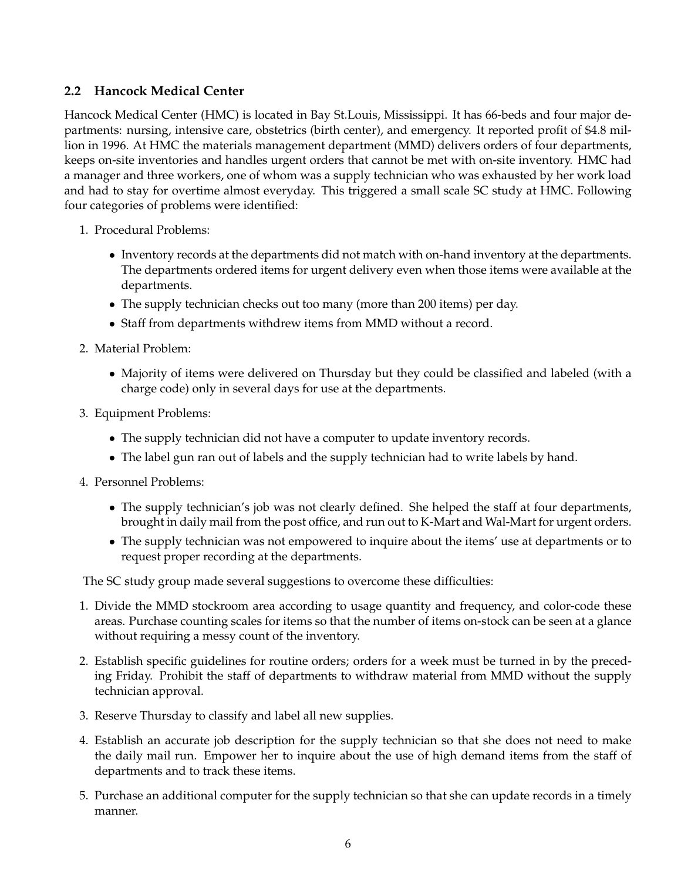### **2.2 Hancock Medical Center**

Hancock Medical Center (HMC) is located in Bay St.Louis, Mississippi. It has 66-beds and four major departments: nursing, intensive care, obstetrics (birth center), and emergency. It reported profit of \$4.8 million in 1996. At HMC the materials management department (MMD) delivers orders of four departments, keeps on-site inventories and handles urgent orders that cannot be met with on-site inventory. HMC had a manager and three workers, one of whom was a supply technician who was exhausted by her work load and had to stay for overtime almost everyday. This triggered a small scale SC study at HMC. Following four categories of problems were identified:

- 1. Procedural Problems:
	- Inventory records at the departments did not match with on-hand inventory at the departments. The departments ordered items for urgent delivery even when those items were available at the departments.
	- *•* The supply technician checks out too many (more than 200 items) per day.
	- *•* Staff from departments withdrew items from MMD without a record.
- 2. Material Problem:
	- Majority of items were delivered on Thursday but they could be classified and labeled (with a charge code) only in several days for use at the departments.
- 3. Equipment Problems:
	- The supply technician did not have a computer to update inventory records.
	- *•* The label gun ran out of labels and the supply technician had to write labels by hand.
- 4. Personnel Problems:
	- The supply technician's job was not clearly defined. She helped the staff at four departments, brought in daily mail from the post office, and run out to K-Mart and Wal-Mart for urgent orders.
	- The supply technician was not empowered to inquire about the items' use at departments or to request proper recording at the departments.

The SC study group made several suggestions to overcome these difficulties:

- 1. Divide the MMD stockroom area according to usage quantity and frequency, and color-code these areas. Purchase counting scales for items so that the number of items on-stock can be seen at a glance without requiring a messy count of the inventory.
- 2. Establish specific guidelines for routine orders; orders for a week must be turned in by the preceding Friday. Prohibit the staff of departments to withdraw material from MMD without the supply technician approval.
- 3. Reserve Thursday to classify and label all new supplies.
- 4. Establish an accurate job description for the supply technician so that she does not need to make the daily mail run. Empower her to inquire about the use of high demand items from the staff of departments and to track these items.
- 5. Purchase an additional computer for the supply technician so that she can update records in a timely manner.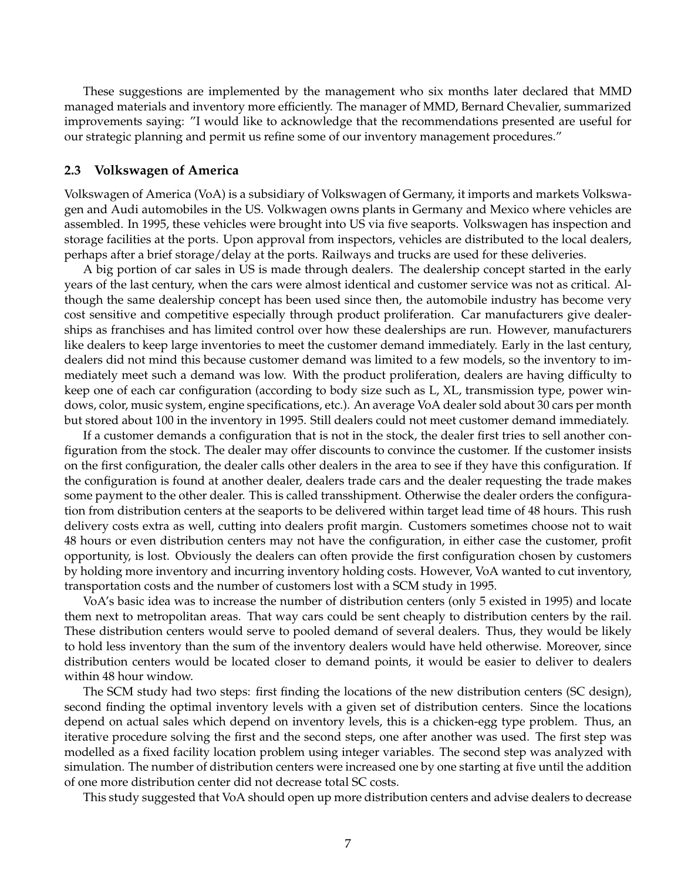These suggestions are implemented by the management who six months later declared that MMD managed materials and inventory more efficiently. The manager of MMD, Bernard Chevalier, summarized improvements saying: "I would like to acknowledge that the recommendations presented are useful for our strategic planning and permit us refine some of our inventory management procedures."

#### **2.3 Volkswagen of America**

Volkswagen of America (VoA) is a subsidiary of Volkswagen of Germany, it imports and markets Volkswagen and Audi automobiles in the US. Volkwagen owns plants in Germany and Mexico where vehicles are assembled. In 1995, these vehicles were brought into US via five seaports. Volkswagen has inspection and storage facilities at the ports. Upon approval from inspectors, vehicles are distributed to the local dealers, perhaps after a brief storage/delay at the ports. Railways and trucks are used for these deliveries.

A big portion of car sales in US is made through dealers. The dealership concept started in the early years of the last century, when the cars were almost identical and customer service was not as critical. Although the same dealership concept has been used since then, the automobile industry has become very cost sensitive and competitive especially through product proliferation. Car manufacturers give dealerships as franchises and has limited control over how these dealerships are run. However, manufacturers like dealers to keep large inventories to meet the customer demand immediately. Early in the last century, dealers did not mind this because customer demand was limited to a few models, so the inventory to immediately meet such a demand was low. With the product proliferation, dealers are having difficulty to keep one of each car configuration (according to body size such as L, XL, transmission type, power windows, color, music system, engine specifications, etc.). An average VoA dealer sold about 30 cars per month but stored about 100 in the inventory in 1995. Still dealers could not meet customer demand immediately.

If a customer demands a configuration that is not in the stock, the dealer first tries to sell another configuration from the stock. The dealer may offer discounts to convince the customer. If the customer insists on the first configuration, the dealer calls other dealers in the area to see if they have this configuration. If the configuration is found at another dealer, dealers trade cars and the dealer requesting the trade makes some payment to the other dealer. This is called transshipment. Otherwise the dealer orders the configuration from distribution centers at the seaports to be delivered within target lead time of 48 hours. This rush delivery costs extra as well, cutting into dealers profit margin. Customers sometimes choose not to wait 48 hours or even distribution centers may not have the configuration, in either case the customer, profit opportunity, is lost. Obviously the dealers can often provide the first configuration chosen by customers by holding more inventory and incurring inventory holding costs. However, VoA wanted to cut inventory, transportation costs and the number of customers lost with a SCM study in 1995.

VoA's basic idea was to increase the number of distribution centers (only 5 existed in 1995) and locate them next to metropolitan areas. That way cars could be sent cheaply to distribution centers by the rail. These distribution centers would serve to pooled demand of several dealers. Thus, they would be likely to hold less inventory than the sum of the inventory dealers would have held otherwise. Moreover, since distribution centers would be located closer to demand points, it would be easier to deliver to dealers within 48 hour window.

The SCM study had two steps: first finding the locations of the new distribution centers (SC design), second finding the optimal inventory levels with a given set of distribution centers. Since the locations depend on actual sales which depend on inventory levels, this is a chicken-egg type problem. Thus, an iterative procedure solving the first and the second steps, one after another was used. The first step was modelled as a fixed facility location problem using integer variables. The second step was analyzed with simulation. The number of distribution centers were increased one by one starting at five until the addition of one more distribution center did not decrease total SC costs.

This study suggested that VoA should open up more distribution centers and advise dealers to decrease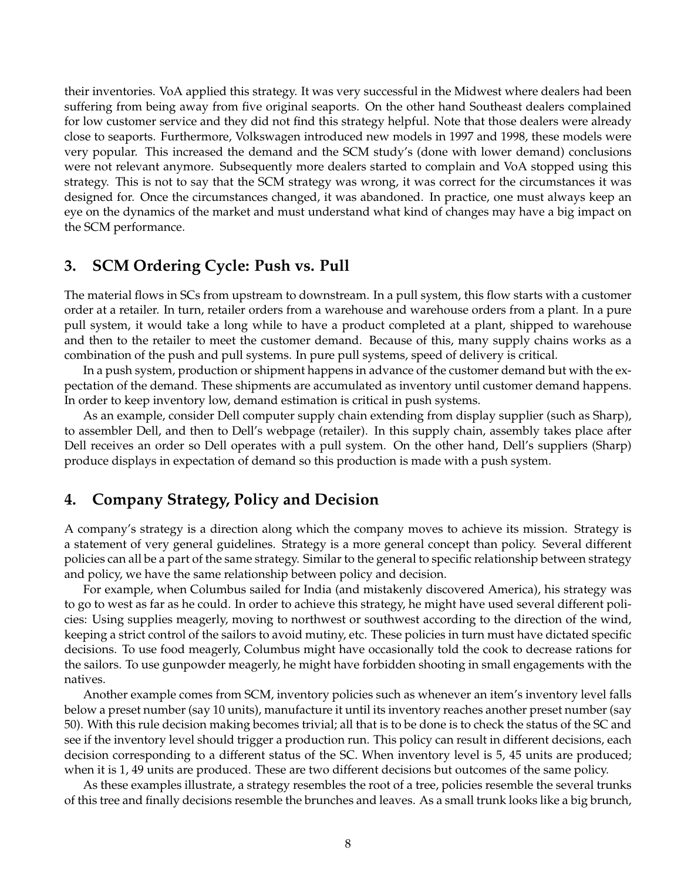their inventories. VoA applied this strategy. It was very successful in the Midwest where dealers had been suffering from being away from five original seaports. On the other hand Southeast dealers complained for low customer service and they did not find this strategy helpful. Note that those dealers were already close to seaports. Furthermore, Volkswagen introduced new models in 1997 and 1998, these models were very popular. This increased the demand and the SCM study's (done with lower demand) conclusions were not relevant anymore. Subsequently more dealers started to complain and VoA stopped using this strategy. This is not to say that the SCM strategy was wrong, it was correct for the circumstances it was designed for. Once the circumstances changed, it was abandoned. In practice, one must always keep an eye on the dynamics of the market and must understand what kind of changes may have a big impact on the SCM performance.

### **3. SCM Ordering Cycle: Push vs. Pull**

The material flows in SCs from upstream to downstream. In a pull system, this flow starts with a customer order at a retailer. In turn, retailer orders from a warehouse and warehouse orders from a plant. In a pure pull system, it would take a long while to have a product completed at a plant, shipped to warehouse and then to the retailer to meet the customer demand. Because of this, many supply chains works as a combination of the push and pull systems. In pure pull systems, speed of delivery is critical.

In a push system, production or shipment happens in advance of the customer demand but with the expectation of the demand. These shipments are accumulated as inventory until customer demand happens. In order to keep inventory low, demand estimation is critical in push systems.

As an example, consider Dell computer supply chain extending from display supplier (such as Sharp), to assembler Dell, and then to Dell's webpage (retailer). In this supply chain, assembly takes place after Dell receives an order so Dell operates with a pull system. On the other hand, Dell's suppliers (Sharp) produce displays in expectation of demand so this production is made with a push system.

## **4. Company Strategy, Policy and Decision**

A company's strategy is a direction along which the company moves to achieve its mission. Strategy is a statement of very general guidelines. Strategy is a more general concept than policy. Several different policies can all be a part of the same strategy. Similar to the general to specific relationship between strategy and policy, we have the same relationship between policy and decision.

For example, when Columbus sailed for India (and mistakenly discovered America), his strategy was to go to west as far as he could. In order to achieve this strategy, he might have used several different policies: Using supplies meagerly, moving to northwest or southwest according to the direction of the wind, keeping a strict control of the sailors to avoid mutiny, etc. These policies in turn must have dictated specific decisions. To use food meagerly, Columbus might have occasionally told the cook to decrease rations for the sailors. To use gunpowder meagerly, he might have forbidden shooting in small engagements with the natives.

Another example comes from SCM, inventory policies such as whenever an item's inventory level falls below a preset number (say 10 units), manufacture it until its inventory reaches another preset number (say 50). With this rule decision making becomes trivial; all that is to be done is to check the status of the SC and see if the inventory level should trigger a production run. This policy can result in different decisions, each decision corresponding to a different status of the SC. When inventory level is 5, 45 units are produced; when it is 1, 49 units are produced. These are two different decisions but outcomes of the same policy.

As these examples illustrate, a strategy resembles the root of a tree, policies resemble the several trunks of this tree and finally decisions resemble the brunches and leaves. As a small trunk looks like a big brunch,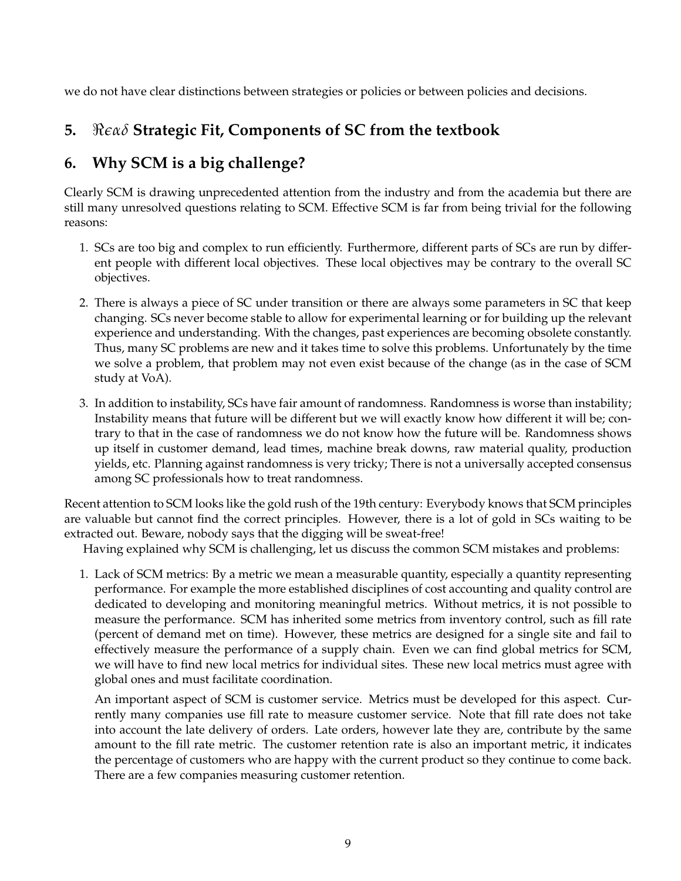we do not have clear distinctions between strategies or policies or between policies and decisions.

# **5.** *ℜϵαδ* **Strategic Fit, Components of SC from the textbook**

# **6. Why SCM is a big challenge?**

Clearly SCM is drawing unprecedented attention from the industry and from the academia but there are still many unresolved questions relating to SCM. Effective SCM is far from being trivial for the following reasons:

- 1. SCs are too big and complex to run efficiently. Furthermore, different parts of SCs are run by different people with different local objectives. These local objectives may be contrary to the overall SC objectives.
- 2. There is always a piece of SC under transition or there are always some parameters in SC that keep changing. SCs never become stable to allow for experimental learning or for building up the relevant experience and understanding. With the changes, past experiences are becoming obsolete constantly. Thus, many SC problems are new and it takes time to solve this problems. Unfortunately by the time we solve a problem, that problem may not even exist because of the change (as in the case of SCM study at VoA).
- 3. In addition to instability, SCs have fair amount of randomness. Randomness is worse than instability; Instability means that future will be different but we will exactly know how different it will be; contrary to that in the case of randomness we do not know how the future will be. Randomness shows up itself in customer demand, lead times, machine break downs, raw material quality, production yields, etc. Planning against randomness is very tricky; There is not a universally accepted consensus among SC professionals how to treat randomness.

Recent attention to SCM looks like the gold rush of the 19th century: Everybody knows that SCM principles are valuable but cannot find the correct principles. However, there is a lot of gold in SCs waiting to be extracted out. Beware, nobody says that the digging will be sweat-free!

Having explained why SCM is challenging, let us discuss the common SCM mistakes and problems:

1. Lack of SCM metrics: By a metric we mean a measurable quantity, especially a quantity representing performance. For example the more established disciplines of cost accounting and quality control are dedicated to developing and monitoring meaningful metrics. Without metrics, it is not possible to measure the performance. SCM has inherited some metrics from inventory control, such as fill rate (percent of demand met on time). However, these metrics are designed for a single site and fail to effectively measure the performance of a supply chain. Even we can find global metrics for SCM, we will have to find new local metrics for individual sites. These new local metrics must agree with global ones and must facilitate coordination.

An important aspect of SCM is customer service. Metrics must be developed for this aspect. Currently many companies use fill rate to measure customer service. Note that fill rate does not take into account the late delivery of orders. Late orders, however late they are, contribute by the same amount to the fill rate metric. The customer retention rate is also an important metric, it indicates the percentage of customers who are happy with the current product so they continue to come back. There are a few companies measuring customer retention.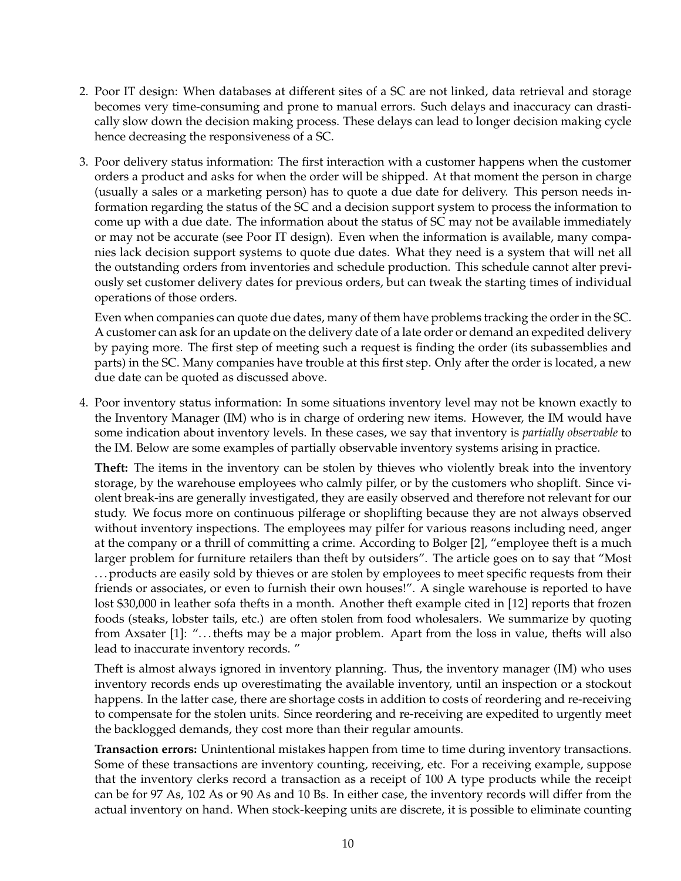- 2. Poor IT design: When databases at different sites of a SC are not linked, data retrieval and storage becomes very time-consuming and prone to manual errors. Such delays and inaccuracy can drastically slow down the decision making process. These delays can lead to longer decision making cycle hence decreasing the responsiveness of a SC.
- 3. Poor delivery status information: The first interaction with a customer happens when the customer orders a product and asks for when the order will be shipped. At that moment the person in charge (usually a sales or a marketing person) has to quote a due date for delivery. This person needs information regarding the status of the SC and a decision support system to process the information to come up with a due date. The information about the status of SC may not be available immediately or may not be accurate (see Poor IT design). Even when the information is available, many companies lack decision support systems to quote due dates. What they need is a system that will net all the outstanding orders from inventories and schedule production. This schedule cannot alter previously set customer delivery dates for previous orders, but can tweak the starting times of individual operations of those orders.

Even when companies can quote due dates, many of them have problems tracking the order in the SC. A customer can ask for an update on the delivery date of a late order or demand an expedited delivery by paying more. The first step of meeting such a request is finding the order (its subassemblies and parts) in the SC. Many companies have trouble at this first step. Only after the order is located, a new due date can be quoted as discussed above.

4. Poor inventory status information: In some situations inventory level may not be known exactly to the Inventory Manager (IM) who is in charge of ordering new items. However, the IM would have some indication about inventory levels. In these cases, we say that inventory is *partially observable* to the IM. Below are some examples of partially observable inventory systems arising in practice.

**Theft:** The items in the inventory can be stolen by thieves who violently break into the inventory storage, by the warehouse employees who calmly pilfer, or by the customers who shoplift. Since violent break-ins are generally investigated, they are easily observed and therefore not relevant for our study. We focus more on continuous pilferage or shoplifting because they are not always observed without inventory inspections. The employees may pilfer for various reasons including need, anger at the company or a thrill of committing a crime. According to Bolger [2], "employee theft is a much larger problem for furniture retailers than theft by outsiders". The article goes on to say that "Most . . . products are easily sold by thieves or are stolen by employees to meet specific requests from their friends or associates, or even to furnish their own houses!". A single warehouse is reported to have lost \$30,000 in leather sofa thefts in a month. Another theft example cited in [12] reports that frozen foods (steaks, lobster tails, etc.) are often stolen from food wholesalers. We summarize by quoting from Axsater [1]: ". . . thefts may be a major problem. Apart from the loss in value, thefts will also lead to inaccurate inventory records. "

Theft is almost always ignored in inventory planning. Thus, the inventory manager (IM) who uses inventory records ends up overestimating the available inventory, until an inspection or a stockout happens. In the latter case, there are shortage costs in addition to costs of reordering and re-receiving to compensate for the stolen units. Since reordering and re-receiving are expedited to urgently meet the backlogged demands, they cost more than their regular amounts.

**Transaction errors:** Unintentional mistakes happen from time to time during inventory transactions. Some of these transactions are inventory counting, receiving, etc. For a receiving example, suppose that the inventory clerks record a transaction as a receipt of 100 A type products while the receipt can be for 97 As, 102 As or 90 As and 10 Bs. In either case, the inventory records will differ from the actual inventory on hand. When stock-keeping units are discrete, it is possible to eliminate counting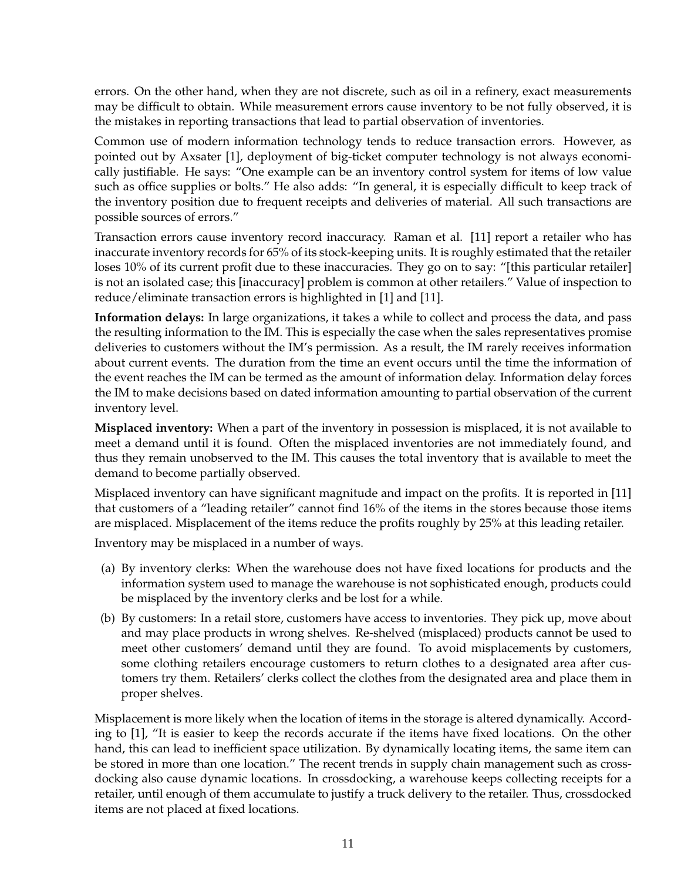errors. On the other hand, when they are not discrete, such as oil in a refinery, exact measurements may be difficult to obtain. While measurement errors cause inventory to be not fully observed, it is the mistakes in reporting transactions that lead to partial observation of inventories.

Common use of modern information technology tends to reduce transaction errors. However, as pointed out by Axsater [1], deployment of big-ticket computer technology is not always economically justifiable. He says: "One example can be an inventory control system for items of low value such as office supplies or bolts." He also adds: "In general, it is especially difficult to keep track of the inventory position due to frequent receipts and deliveries of material. All such transactions are possible sources of errors."

Transaction errors cause inventory record inaccuracy. Raman et al. [11] report a retailer who has inaccurate inventory records for 65% of its stock-keeping units. It is roughly estimated that the retailer loses 10% of its current profit due to these inaccuracies. They go on to say: "[this particular retailer] is not an isolated case; this [inaccuracy] problem is common at other retailers." Value of inspection to reduce/eliminate transaction errors is highlighted in [1] and [11].

**Information delays:** In large organizations, it takes a while to collect and process the data, and pass the resulting information to the IM. This is especially the case when the sales representatives promise deliveries to customers without the IM's permission. As a result, the IM rarely receives information about current events. The duration from the time an event occurs until the time the information of the event reaches the IM can be termed as the amount of information delay. Information delay forces the IM to make decisions based on dated information amounting to partial observation of the current inventory level.

**Misplaced inventory:** When a part of the inventory in possession is misplaced, it is not available to meet a demand until it is found. Often the misplaced inventories are not immediately found, and thus they remain unobserved to the IM. This causes the total inventory that is available to meet the demand to become partially observed.

Misplaced inventory can have significant magnitude and impact on the profits. It is reported in [11] that customers of a "leading retailer" cannot find 16% of the items in the stores because those items are misplaced. Misplacement of the items reduce the profits roughly by 25% at this leading retailer.

Inventory may be misplaced in a number of ways.

- (a) By inventory clerks: When the warehouse does not have fixed locations for products and the information system used to manage the warehouse is not sophisticated enough, products could be misplaced by the inventory clerks and be lost for a while.
- (b) By customers: In a retail store, customers have access to inventories. They pick up, move about and may place products in wrong shelves. Re-shelved (misplaced) products cannot be used to meet other customers' demand until they are found. To avoid misplacements by customers, some clothing retailers encourage customers to return clothes to a designated area after customers try them. Retailers' clerks collect the clothes from the designated area and place them in proper shelves.

Misplacement is more likely when the location of items in the storage is altered dynamically. According to [1], "It is easier to keep the records accurate if the items have fixed locations. On the other hand, this can lead to inefficient space utilization. By dynamically locating items, the same item can be stored in more than one location." The recent trends in supply chain management such as crossdocking also cause dynamic locations. In crossdocking, a warehouse keeps collecting receipts for a retailer, until enough of them accumulate to justify a truck delivery to the retailer. Thus, crossdocked items are not placed at fixed locations.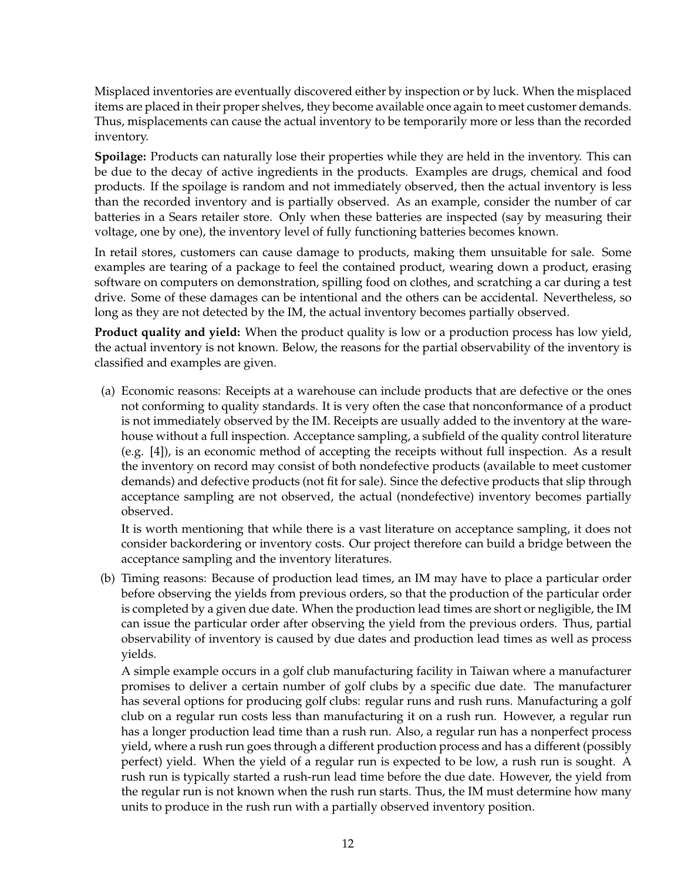Misplaced inventories are eventually discovered either by inspection or by luck. When the misplaced items are placed in their proper shelves, they become available once again to meet customer demands. Thus, misplacements can cause the actual inventory to be temporarily more or less than the recorded inventory.

**Spoilage:** Products can naturally lose their properties while they are held in the inventory. This can be due to the decay of active ingredients in the products. Examples are drugs, chemical and food products. If the spoilage is random and not immediately observed, then the actual inventory is less than the recorded inventory and is partially observed. As an example, consider the number of car batteries in a Sears retailer store. Only when these batteries are inspected (say by measuring their voltage, one by one), the inventory level of fully functioning batteries becomes known.

In retail stores, customers can cause damage to products, making them unsuitable for sale. Some examples are tearing of a package to feel the contained product, wearing down a product, erasing software on computers on demonstration, spilling food on clothes, and scratching a car during a test drive. Some of these damages can be intentional and the others can be accidental. Nevertheless, so long as they are not detected by the IM, the actual inventory becomes partially observed.

**Product quality and yield:** When the product quality is low or a production process has low yield, the actual inventory is not known. Below, the reasons for the partial observability of the inventory is classified and examples are given.

(a) Economic reasons: Receipts at a warehouse can include products that are defective or the ones not conforming to quality standards. It is very often the case that nonconformance of a product is not immediately observed by the IM. Receipts are usually added to the inventory at the warehouse without a full inspection. Acceptance sampling, a subfield of the quality control literature (e.g. [4]), is an economic method of accepting the receipts without full inspection. As a result the inventory on record may consist of both nondefective products (available to meet customer demands) and defective products (not fit for sale). Since the defective products that slip through acceptance sampling are not observed, the actual (nondefective) inventory becomes partially observed.

It is worth mentioning that while there is a vast literature on acceptance sampling, it does not consider backordering or inventory costs. Our project therefore can build a bridge between the acceptance sampling and the inventory literatures.

(b) Timing reasons: Because of production lead times, an IM may have to place a particular order before observing the yields from previous orders, so that the production of the particular order is completed by a given due date. When the production lead times are short or negligible, the IM can issue the particular order after observing the yield from the previous orders. Thus, partial observability of inventory is caused by due dates and production lead times as well as process yields.

A simple example occurs in a golf club manufacturing facility in Taiwan where a manufacturer promises to deliver a certain number of golf clubs by a specific due date. The manufacturer has several options for producing golf clubs: regular runs and rush runs. Manufacturing a golf club on a regular run costs less than manufacturing it on a rush run. However, a regular run has a longer production lead time than a rush run. Also, a regular run has a nonperfect process yield, where a rush run goes through a different production process and has a different (possibly perfect) yield. When the yield of a regular run is expected to be low, a rush run is sought. A rush run is typically started a rush-run lead time before the due date. However, the yield from the regular run is not known when the rush run starts. Thus, the IM must determine how many units to produce in the rush run with a partially observed inventory position.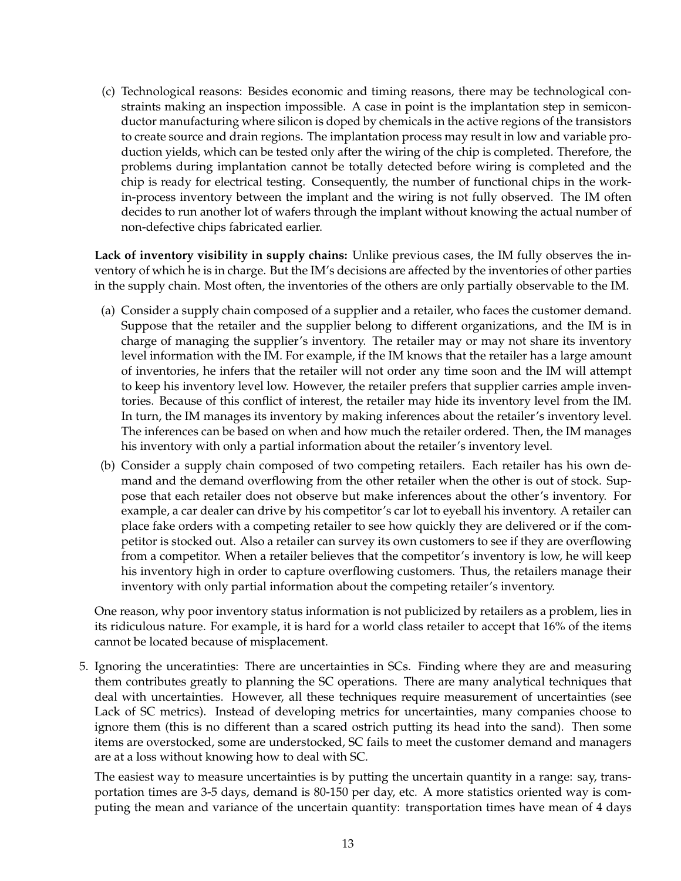(c) Technological reasons: Besides economic and timing reasons, there may be technological constraints making an inspection impossible. A case in point is the implantation step in semiconductor manufacturing where silicon is doped by chemicals in the active regions of the transistors to create source and drain regions. The implantation process may result in low and variable production yields, which can be tested only after the wiring of the chip is completed. Therefore, the problems during implantation cannot be totally detected before wiring is completed and the chip is ready for electrical testing. Consequently, the number of functional chips in the workin-process inventory between the implant and the wiring is not fully observed. The IM often decides to run another lot of wafers through the implant without knowing the actual number of non-defective chips fabricated earlier.

**Lack of inventory visibility in supply chains:** Unlike previous cases, the IM fully observes the inventory of which he is in charge. But the IM's decisions are affected by the inventories of other parties in the supply chain. Most often, the inventories of the others are only partially observable to the IM.

- (a) Consider a supply chain composed of a supplier and a retailer, who faces the customer demand. Suppose that the retailer and the supplier belong to different organizations, and the IM is in charge of managing the supplier's inventory. The retailer may or may not share its inventory level information with the IM. For example, if the IM knows that the retailer has a large amount of inventories, he infers that the retailer will not order any time soon and the IM will attempt to keep his inventory level low. However, the retailer prefers that supplier carries ample inventories. Because of this conflict of interest, the retailer may hide its inventory level from the IM. In turn, the IM manages its inventory by making inferences about the retailer's inventory level. The inferences can be based on when and how much the retailer ordered. Then, the IM manages his inventory with only a partial information about the retailer's inventory level.
- (b) Consider a supply chain composed of two competing retailers. Each retailer has his own demand and the demand overflowing from the other retailer when the other is out of stock. Suppose that each retailer does not observe but make inferences about the other's inventory. For example, a car dealer can drive by his competitor's car lot to eyeball his inventory. A retailer can place fake orders with a competing retailer to see how quickly they are delivered or if the competitor is stocked out. Also a retailer can survey its own customers to see if they are overflowing from a competitor. When a retailer believes that the competitor's inventory is low, he will keep his inventory high in order to capture overflowing customers. Thus, the retailers manage their inventory with only partial information about the competing retailer's inventory.

One reason, why poor inventory status information is not publicized by retailers as a problem, lies in its ridiculous nature. For example, it is hard for a world class retailer to accept that 16% of the items cannot be located because of misplacement.

5. Ignoring the unceratinties: There are uncertainties in SCs. Finding where they are and measuring them contributes greatly to planning the SC operations. There are many analytical techniques that deal with uncertainties. However, all these techniques require measurement of uncertainties (see Lack of SC metrics). Instead of developing metrics for uncertainties, many companies choose to ignore them (this is no different than a scared ostrich putting its head into the sand). Then some items are overstocked, some are understocked, SC fails to meet the customer demand and managers are at a loss without knowing how to deal with SC.

The easiest way to measure uncertainties is by putting the uncertain quantity in a range: say, transportation times are 3-5 days, demand is 80-150 per day, etc. A more statistics oriented way is computing the mean and variance of the uncertain quantity: transportation times have mean of 4 days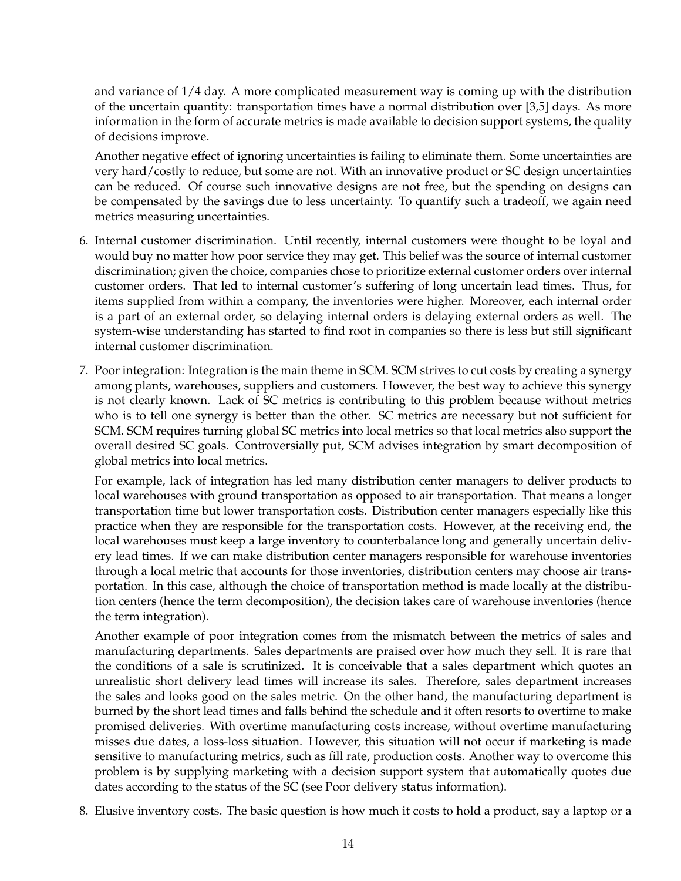and variance of 1/4 day. A more complicated measurement way is coming up with the distribution of the uncertain quantity: transportation times have a normal distribution over [3,5] days. As more information in the form of accurate metrics is made available to decision support systems, the quality of decisions improve.

Another negative effect of ignoring uncertainties is failing to eliminate them. Some uncertainties are very hard/costly to reduce, but some are not. With an innovative product or SC design uncertainties can be reduced. Of course such innovative designs are not free, but the spending on designs can be compensated by the savings due to less uncertainty. To quantify such a tradeoff, we again need metrics measuring uncertainties.

- 6. Internal customer discrimination. Until recently, internal customers were thought to be loyal and would buy no matter how poor service they may get. This belief was the source of internal customer discrimination; given the choice, companies chose to prioritize external customer orders over internal customer orders. That led to internal customer's suffering of long uncertain lead times. Thus, for items supplied from within a company, the inventories were higher. Moreover, each internal order is a part of an external order, so delaying internal orders is delaying external orders as well. The system-wise understanding has started to find root in companies so there is less but still significant internal customer discrimination.
- 7. Poor integration: Integration is the main theme in SCM. SCM strives to cut costs by creating a synergy among plants, warehouses, suppliers and customers. However, the best way to achieve this synergy is not clearly known. Lack of SC metrics is contributing to this problem because without metrics who is to tell one synergy is better than the other. SC metrics are necessary but not sufficient for SCM. SCM requires turning global SC metrics into local metrics so that local metrics also support the overall desired SC goals. Controversially put, SCM advises integration by smart decomposition of global metrics into local metrics.

For example, lack of integration has led many distribution center managers to deliver products to local warehouses with ground transportation as opposed to air transportation. That means a longer transportation time but lower transportation costs. Distribution center managers especially like this practice when they are responsible for the transportation costs. However, at the receiving end, the local warehouses must keep a large inventory to counterbalance long and generally uncertain delivery lead times. If we can make distribution center managers responsible for warehouse inventories through a local metric that accounts for those inventories, distribution centers may choose air transportation. In this case, although the choice of transportation method is made locally at the distribution centers (hence the term decomposition), the decision takes care of warehouse inventories (hence the term integration).

Another example of poor integration comes from the mismatch between the metrics of sales and manufacturing departments. Sales departments are praised over how much they sell. It is rare that the conditions of a sale is scrutinized. It is conceivable that a sales department which quotes an unrealistic short delivery lead times will increase its sales. Therefore, sales department increases the sales and looks good on the sales metric. On the other hand, the manufacturing department is burned by the short lead times and falls behind the schedule and it often resorts to overtime to make promised deliveries. With overtime manufacturing costs increase, without overtime manufacturing misses due dates, a loss-loss situation. However, this situation will not occur if marketing is made sensitive to manufacturing metrics, such as fill rate, production costs. Another way to overcome this problem is by supplying marketing with a decision support system that automatically quotes due dates according to the status of the SC (see Poor delivery status information).

8. Elusive inventory costs. The basic question is how much it costs to hold a product, say a laptop or a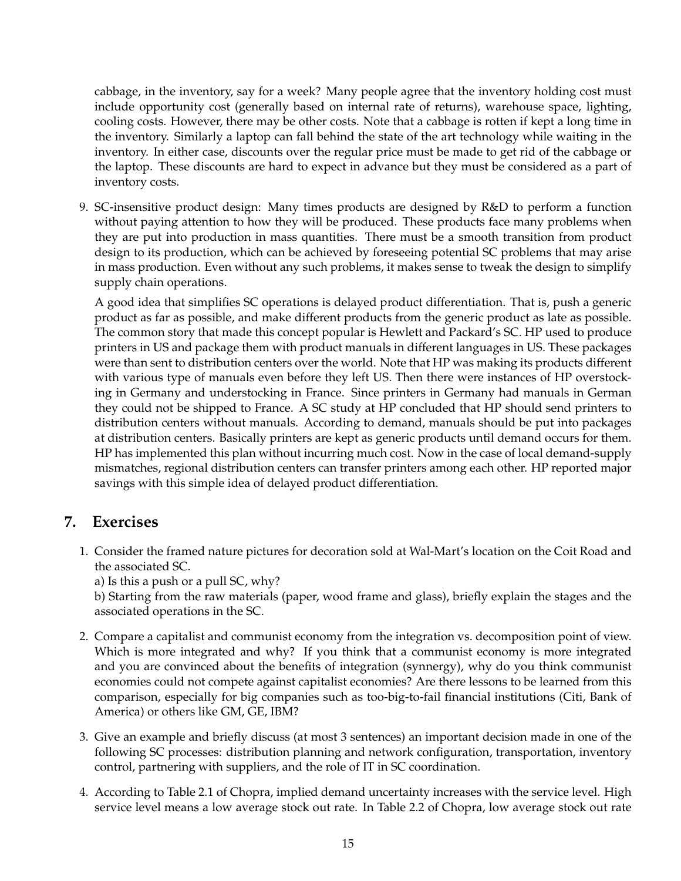cabbage, in the inventory, say for a week? Many people agree that the inventory holding cost must include opportunity cost (generally based on internal rate of returns), warehouse space, lighting, cooling costs. However, there may be other costs. Note that a cabbage is rotten if kept a long time in the inventory. Similarly a laptop can fall behind the state of the art technology while waiting in the inventory. In either case, discounts over the regular price must be made to get rid of the cabbage or the laptop. These discounts are hard to expect in advance but they must be considered as a part of inventory costs.

9. SC-insensitive product design: Many times products are designed by R&D to perform a function without paying attention to how they will be produced. These products face many problems when they are put into production in mass quantities. There must be a smooth transition from product design to its production, which can be achieved by foreseeing potential SC problems that may arise in mass production. Even without any such problems, it makes sense to tweak the design to simplify supply chain operations.

A good idea that simplifies SC operations is delayed product differentiation. That is, push a generic product as far as possible, and make different products from the generic product as late as possible. The common story that made this concept popular is Hewlett and Packard's SC. HP used to produce printers in US and package them with product manuals in different languages in US. These packages were than sent to distribution centers over the world. Note that HP was making its products different with various type of manuals even before they left US. Then there were instances of HP overstocking in Germany and understocking in France. Since printers in Germany had manuals in German they could not be shipped to France. A SC study at HP concluded that HP should send printers to distribution centers without manuals. According to demand, manuals should be put into packages at distribution centers. Basically printers are kept as generic products until demand occurs for them. HP has implemented this plan without incurring much cost. Now in the case of local demand-supply mismatches, regional distribution centers can transfer printers among each other. HP reported major savings with this simple idea of delayed product differentiation.

# **7. Exercises**

1. Consider the framed nature pictures for decoration sold at Wal-Mart's location on the Coit Road and the associated SC.

a) Is this a push or a pull SC, why?

b) Starting from the raw materials (paper, wood frame and glass), briefly explain the stages and the associated operations in the SC.

- 2. Compare a capitalist and communist economy from the integration vs. decomposition point of view. Which is more integrated and why? If you think that a communist economy is more integrated and you are convinced about the benefits of integration (synnergy), why do you think communist economies could not compete against capitalist economies? Are there lessons to be learned from this comparison, especially for big companies such as too-big-to-fail financial institutions (Citi, Bank of America) or others like GM, GE, IBM?
- 3. Give an example and briefly discuss (at most 3 sentences) an important decision made in one of the following SC processes: distribution planning and network configuration, transportation, inventory control, partnering with suppliers, and the role of IT in SC coordination.
- 4. According to Table 2.1 of Chopra, implied demand uncertainty increases with the service level. High service level means a low average stock out rate. In Table 2.2 of Chopra, low average stock out rate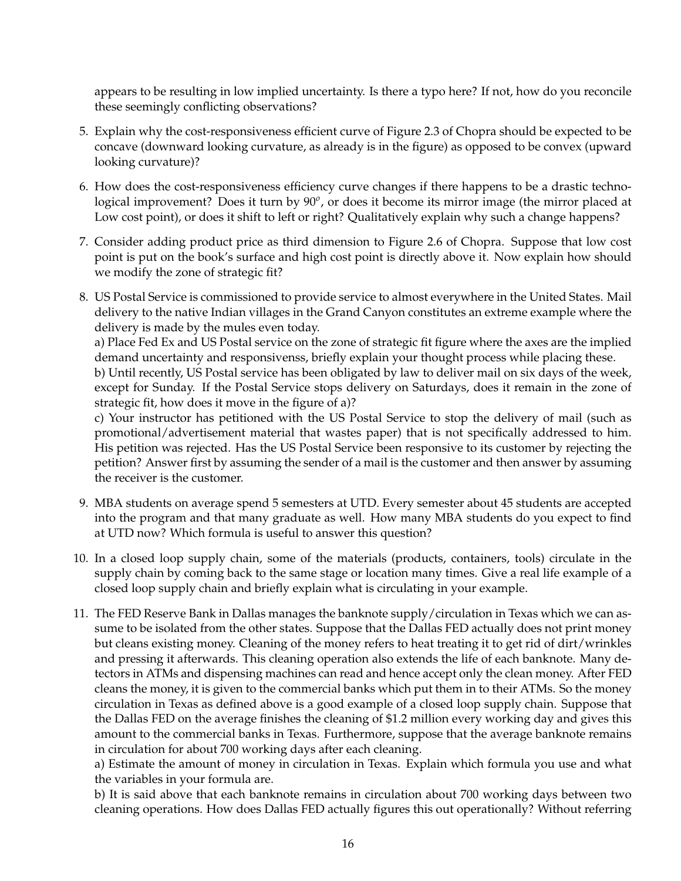appears to be resulting in low implied uncertainty. Is there a typo here? If not, how do you reconcile these seemingly conflicting observations?

- 5. Explain why the cost-responsiveness efficient curve of Figure 2.3 of Chopra should be expected to be concave (downward looking curvature, as already is in the figure) as opposed to be convex (upward looking curvature)?
- 6. How does the cost-responsiveness efficiency curve changes if there happens to be a drastic technological improvement? Does it turn by 90<sup>o</sup>, or does it become its mirror image (the mirror placed at Low cost point), or does it shift to left or right? Qualitatively explain why such a change happens?
- 7. Consider adding product price as third dimension to Figure 2.6 of Chopra. Suppose that low cost point is put on the book's surface and high cost point is directly above it. Now explain how should we modify the zone of strategic fit?
- 8. US Postal Service is commissioned to provide service to almost everywhere in the United States. Mail delivery to the native Indian villages in the Grand Canyon constitutes an extreme example where the delivery is made by the mules even today.

a) Place Fed Ex and US Postal service on the zone of strategic fit figure where the axes are the implied demand uncertainty and responsivenss, briefly explain your thought process while placing these.

b) Until recently, US Postal service has been obligated by law to deliver mail on six days of the week, except for Sunday. If the Postal Service stops delivery on Saturdays, does it remain in the zone of strategic fit, how does it move in the figure of a)?

c) Your instructor has petitioned with the US Postal Service to stop the delivery of mail (such as promotional/advertisement material that wastes paper) that is not specifically addressed to him. His petition was rejected. Has the US Postal Service been responsive to its customer by rejecting the petition? Answer first by assuming the sender of a mail is the customer and then answer by assuming the receiver is the customer.

- 9. MBA students on average spend 5 semesters at UTD. Every semester about 45 students are accepted into the program and that many graduate as well. How many MBA students do you expect to find at UTD now? Which formula is useful to answer this question?
- 10. In a closed loop supply chain, some of the materials (products, containers, tools) circulate in the supply chain by coming back to the same stage or location many times. Give a real life example of a closed loop supply chain and briefly explain what is circulating in your example.
- 11. The FED Reserve Bank in Dallas manages the banknote supply/circulation in Texas which we can assume to be isolated from the other states. Suppose that the Dallas FED actually does not print money but cleans existing money. Cleaning of the money refers to heat treating it to get rid of dirt/wrinkles and pressing it afterwards. This cleaning operation also extends the life of each banknote. Many detectors in ATMs and dispensing machines can read and hence accept only the clean money. After FED cleans the money, it is given to the commercial banks which put them in to their ATMs. So the money circulation in Texas as defined above is a good example of a closed loop supply chain. Suppose that the Dallas FED on the average finishes the cleaning of \$1.2 million every working day and gives this amount to the commercial banks in Texas. Furthermore, suppose that the average banknote remains in circulation for about 700 working days after each cleaning.

a) Estimate the amount of money in circulation in Texas. Explain which formula you use and what the variables in your formula are.

b) It is said above that each banknote remains in circulation about 700 working days between two cleaning operations. How does Dallas FED actually figures this out operationally? Without referring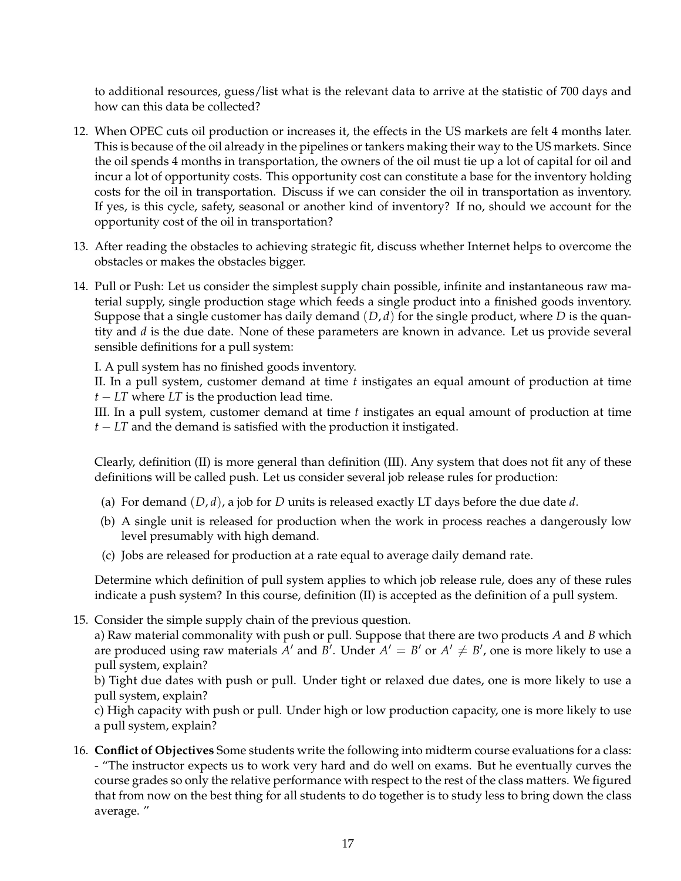to additional resources, guess/list what is the relevant data to arrive at the statistic of 700 days and how can this data be collected?

- 12. When OPEC cuts oil production or increases it, the effects in the US markets are felt 4 months later. This is because of the oil already in the pipelines or tankers making their way to the US markets. Since the oil spends 4 months in transportation, the owners of the oil must tie up a lot of capital for oil and incur a lot of opportunity costs. This opportunity cost can constitute a base for the inventory holding costs for the oil in transportation. Discuss if we can consider the oil in transportation as inventory. If yes, is this cycle, safety, seasonal or another kind of inventory? If no, should we account for the opportunity cost of the oil in transportation?
- 13. After reading the obstacles to achieving strategic fit, discuss whether Internet helps to overcome the obstacles or makes the obstacles bigger.
- 14. Pull or Push: Let us consider the simplest supply chain possible, infinite and instantaneous raw material supply, single production stage which feeds a single product into a finished goods inventory. Suppose that a single customer has daily demand (*D*, *d*) for the single product, where *D* is the quantity and *d* is the due date. None of these parameters are known in advance. Let us provide several sensible definitions for a pull system:

I. A pull system has no finished goods inventory.

II. In a pull system, customer demand at time *t* instigates an equal amount of production at time *t* − *LT* where *LT* is the production lead time.

III. In a pull system, customer demand at time *t* instigates an equal amount of production at time *t − LT* and the demand is satisfied with the production it instigated.

Clearly, definition (II) is more general than definition (III). Any system that does not fit any of these definitions will be called push. Let us consider several job release rules for production:

- (a) For demand  $(D, d)$ , a job for *D* units is released exactly LT days before the due date *d*.
- (b) A single unit is released for production when the work in process reaches a dangerously low level presumably with high demand.
- (c) Jobs are released for production at a rate equal to average daily demand rate.

Determine which definition of pull system applies to which job release rule, does any of these rules indicate a push system? In this course, definition (II) is accepted as the definition of a pull system.

15. Consider the simple supply chain of the previous question.

a) Raw material commonality with push or pull. Suppose that there are two products *A* and *B* which are produced using raw materials  $A'$  and  $B'$ . Under  $A' = B'$  or  $A' \neq B'$ , one is more likely to use a pull system, explain?

b) Tight due dates with push or pull. Under tight or relaxed due dates, one is more likely to use a pull system, explain?

c) High capacity with push or pull. Under high or low production capacity, one is more likely to use a pull system, explain?

16. **Conflict of Objectives** Some students write the following into midterm course evaluations for a class: - "The instructor expects us to work very hard and do well on exams. But he eventually curves the course grades so only the relative performance with respect to the rest of the class matters. We figured that from now on the best thing for all students to do together is to study less to bring down the class average. "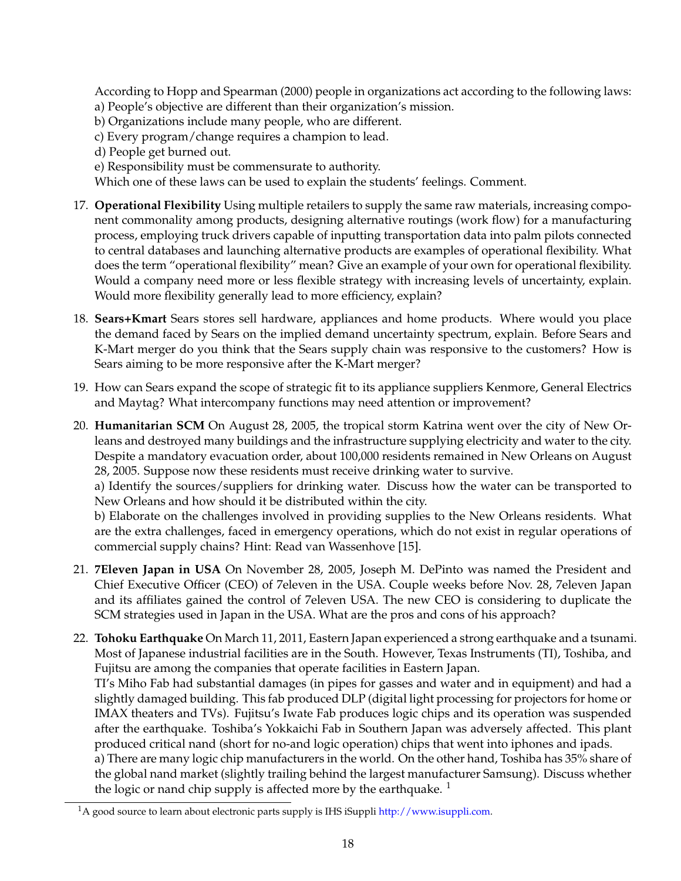According to Hopp and Spearman (2000) people in organizations act according to the following laws: a) People's objective are different than their organization's mission.

- b) Organizations include many people, who are different.
- c) Every program/change requires a champion to lead.
- d) People get burned out.
- e) Responsibility must be commensurate to authority.

Which one of these laws can be used to explain the students' feelings. Comment.

- 17. **Operational Flexibility** Using multiple retailers to supply the same raw materials, increasing component commonality among products, designing alternative routings (work flow) for a manufacturing process, employing truck drivers capable of inputting transportation data into palm pilots connected to central databases and launching alternative products are examples of operational flexibility. What does the term "operational flexibility" mean? Give an example of your own for operational flexibility. Would a company need more or less flexible strategy with increasing levels of uncertainty, explain. Would more flexibility generally lead to more efficiency, explain?
- 18. **Sears+Kmart** Sears stores sell hardware, appliances and home products. Where would you place the demand faced by Sears on the implied demand uncertainty spectrum, explain. Before Sears and K-Mart merger do you think that the Sears supply chain was responsive to the customers? How is Sears aiming to be more responsive after the K-Mart merger?
- 19. How can Sears expand the scope of strategic fit to its appliance suppliers Kenmore, General Electrics and Maytag? What intercompany functions may need attention or improvement?
- 20. **Humanitarian SCM** On August 28, 2005, the tropical storm Katrina went over the city of New Orleans and destroyed many buildings and the infrastructure supplying electricity and water to the city. Despite a mandatory evacuation order, about 100,000 residents remained in New Orleans on August 28, 2005. Suppose now these residents must receive drinking water to survive.

a) Identify the sources/suppliers for drinking water. Discuss how the water can be transported to New Orleans and how should it be distributed within the city.

b) Elaborate on the challenges involved in providing supplies to the New Orleans residents. What are the extra challenges, faced in emergency operations, which do not exist in regular operations of commercial supply chains? Hint: Read van Wassenhove [15].

- 21. **7Eleven Japan in USA** On November 28, 2005, Joseph M. DePinto was named the President and Chief Executive Officer (CEO) of 7eleven in the USA. Couple weeks before Nov. 28, 7eleven Japan and its affiliates gained the control of 7eleven USA. The new CEO is considering to duplicate the SCM strategies used in Japan in the USA. What are the pros and cons of his approach?
- 22. **Tohoku Earthquake** On March 11, 2011, Eastern Japan experienced a strong earthquake and a tsunami. Most of Japanese industrial facilities are in the South. However, Texas Instruments (TI), Toshiba, and Fujitsu are among the companies that operate facilities in Eastern Japan.

TI's Miho Fab had substantial damages (in pipes for gasses and water and in equipment) and had a slightly damaged building. This fab produced DLP (digital light processing for projectors for home or IMAX theaters and TVs). Fujitsu's Iwate Fab produces logic chips and its operation was suspended after the earthquake. Toshiba's Yokkaichi Fab in Southern Japan was adversely affected. This plant produced critical nand (short for no-and logic operation) chips that went into iphones and ipads.

a) There are many logic chip manufacturers in the world. On the other hand, Toshiba has 35% share of the global nand market (slightly trailing behind the largest manufacturer Samsung). Discuss whether the logic or nand chip supply is affected more by the earthquake.  $1$ 

<sup>&</sup>lt;sup>1</sup>A good source to learn about electronic parts supply is IHS iSuppli http://www.isuppli.com.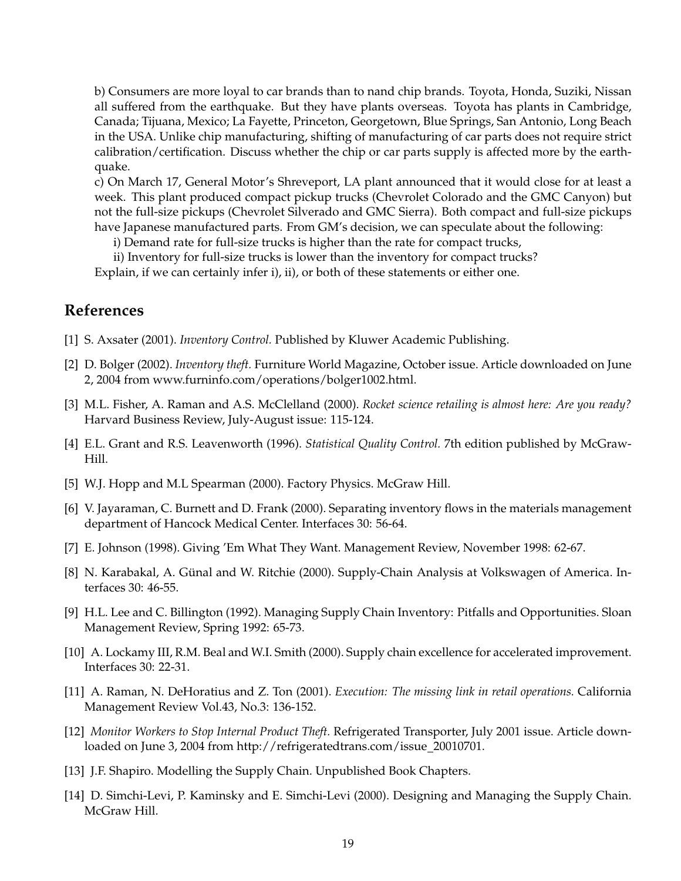b) Consumers are more loyal to car brands than to nand chip brands. Toyota, Honda, Suziki, Nissan all suffered from the earthquake. But they have plants overseas. Toyota has plants in Cambridge, Canada; Tijuana, Mexico; La Fayette, Princeton, Georgetown, Blue Springs, San Antonio, Long Beach in the USA. Unlike chip manufacturing, shifting of manufacturing of car parts does not require strict calibration/certification. Discuss whether the chip or car parts supply is affected more by the earthquake.

c) On March 17, General Motor's Shreveport, LA plant announced that it would close for at least a week. This plant produced compact pickup trucks (Chevrolet Colorado and the GMC Canyon) but not the full-size pickups (Chevrolet Silverado and GMC Sierra). Both compact and full-size pickups have Japanese manufactured parts. From GM's decision, we can speculate about the following:

i) Demand rate for full-size trucks is higher than the rate for compact trucks,

ii) Inventory for full-size trucks is lower than the inventory for compact trucks? Explain, if we can certainly infer i), ii), or both of these statements or either one.

# **References**

- [1] S. Axsater (2001). *Inventory Control.* Published by Kluwer Academic Publishing.
- [2] D. Bolger (2002). *Inventory theft.* Furniture World Magazine, October issue. Article downloaded on June 2, 2004 from www.furninfo.com/operations/bolger1002.html.
- [3] M.L. Fisher, A. Raman and A.S. McClelland (2000). *Rocket science retailing is almost here: Are you ready?* Harvard Business Review, July-August issue: 115-124.
- [4] E.L. Grant and R.S. Leavenworth (1996). *Statistical Quality Control.* 7th edition published by McGraw-Hill.
- [5] W.J. Hopp and M.L Spearman (2000). Factory Physics. McGraw Hill.
- [6] V. Jayaraman, C. Burnett and D. Frank (2000). Separating inventory flows in the materials management department of Hancock Medical Center. Interfaces 30: 56-64.
- [7] E. Johnson (1998). Giving 'Em What They Want. Management Review, November 1998: 62-67.
- [8] N. Karabakal, A. Günal and W. Ritchie (2000). Supply-Chain Analysis at Volkswagen of America. Interfaces 30: 46-55.
- [9] H.L. Lee and C. Billington (1992). Managing Supply Chain Inventory: Pitfalls and Opportunities. Sloan Management Review, Spring 1992: 65-73.
- [10] A. Lockamy III, R.M. Beal and W.I. Smith (2000). Supply chain excellence for accelerated improvement. Interfaces 30: 22-31.
- [11] A. Raman, N. DeHoratius and Z. Ton (2001). *Execution: The missing link in retail operations.* California Management Review Vol.43, No.3: 136-152.
- [12] *Monitor Workers to Stop Internal Product Theft.* Refrigerated Transporter, July 2001 issue. Article downloaded on June 3, 2004 from http://refrigeratedtrans.com/issue\_20010701.
- [13] J.F. Shapiro. Modelling the Supply Chain. Unpublished Book Chapters.
- [14] D. Simchi-Levi, P. Kaminsky and E. Simchi-Levi (2000). Designing and Managing the Supply Chain. McGraw Hill.